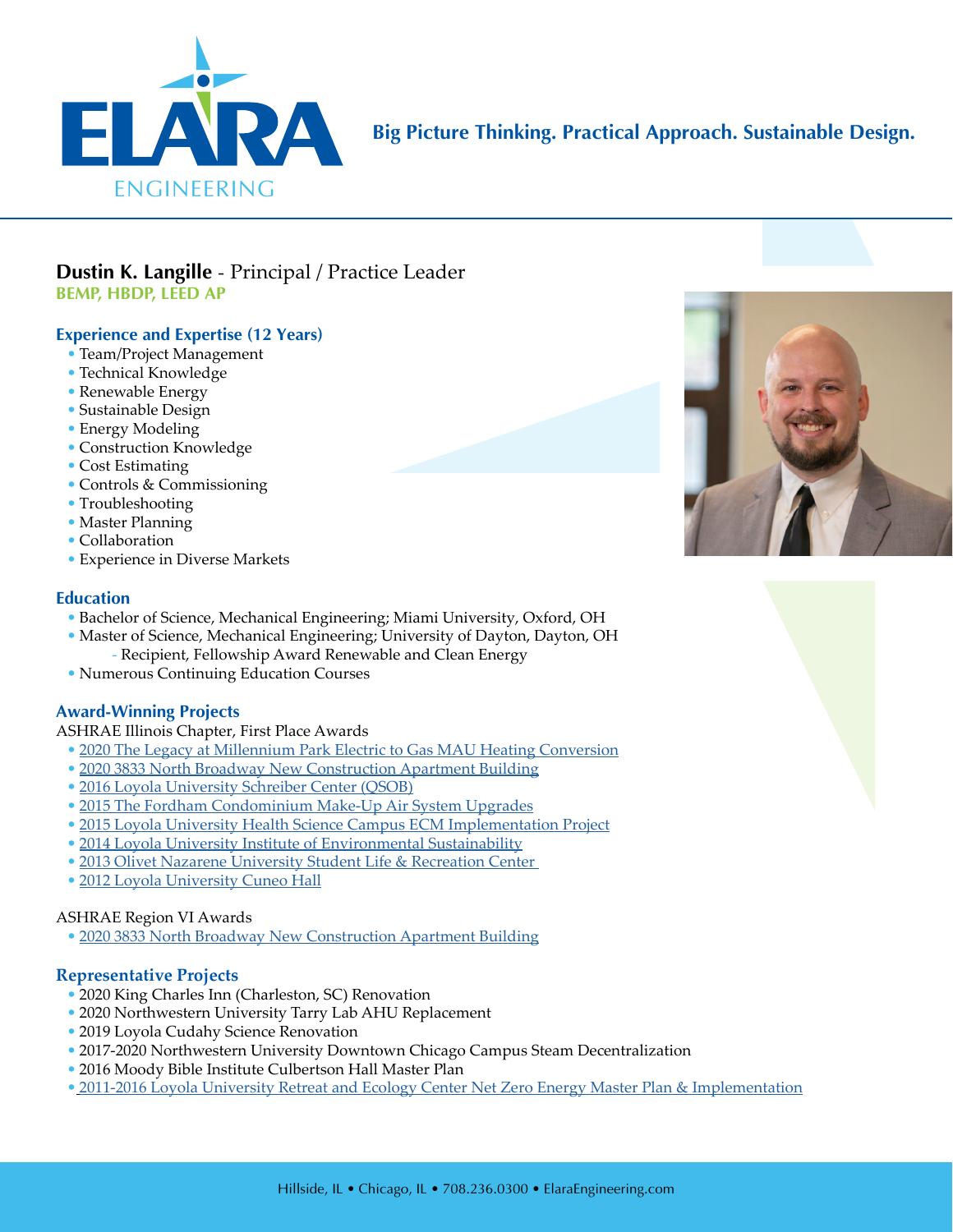

# **Big Picture Thinking. Practical Approach. Sustainable Design.**

# **Dustin K. Langille** - Principal / Practice Leader **BEMP, HBDP, LEED AP**

# **Experience and Expertise (12 Years)**

- Team/Project Management
- Technical Knowledge
- Renewable Energy
- Sustainable Design
- Energy Modeling
- Construction Knowledge
- Cost Estimating
- Controls & Commissioning
- Troubleshooting
- Master Planning
- Collaboration
- Experience in Diverse Markets

## **Education**

- Bachelor of Science, Mechanical Engineering; Miami University, Oxford, OH
- Master of Science, Mechanical Engineering; University of Dayton, Dayton, OH
- Recipient, Fellowship Award Renewable and Clean Energy
- Numerous Continuing Education Courses

## **Award-Winning Projects**

ASHRAE Illinois Chapter, First Place Awards

- [2020 The Legacy at Millennium Park Electric to Gas MAU Heating Conversion](https://elaraeng.com/markets-projects/residential/legacy-millennium-park/)
- [2020 3833 North Broadway New Construction Apartment Building](https://elaraeng.com/markets-projects/residential/north-broadway/)
- [2016 Loyola University Schreiber Center \(QSOB\)](https://elaraeng.com/markets-projects/higher-education/quinlan-school-of-business/)
- [2015 The Fordham Condominium Make-Up Air System Upgrades](http://www.elaraeng.com/wp-content/uploads/2018/05/Elara-Project-Fordham-Condominium.pdf)
- [2015 Loyola University Health Science Campus ECM Implementation Project](http://www.elaraeng.com/wp-content/uploads/2018/04/Elara-Project-LUC-Health-Sciences-Campus.pdf)
- [2014 Loyola University Institute of Environmental Sustainability](http://www.elaraeng.com/wp-content/uploads/2017/04/Elara-Project-LUC-Information-Commons-1.pdf)
- [2013 Olivet Nazarene University Student Life & Recreation Center](http://www.elaraeng.com/wp-content/uploads/2017/04/Elara-Project-ONU-Student-Center.pdf)
- [2012 Loyola University Cuneo Hall](http://www.elaraeng.com/wp-content/uploads/2017/04/Elara-Project-LUC-Cuneo-Hall.pdf)

## ASHRAE Region VI Awards

• [2020 3833 North Broadway New Construction Apartment Building](https://elaraeng.com/markets-projects/residential/north-broadway/)

# **Representative Projects**

- 2020 King Charles Inn (Charleston, SC) Renovation
- 2020 Northwestern University Tarry Lab AHU Replacement
- 2019 Loyola Cudahy Science Renovation
- 2017-2020 Northwestern University Downtown Chicago Campus Steam Decentralization
- 2016 Moody Bible Institute Culbertson Hall Master Plan
- [2011-2016 Loyola University Retreat and Ecology Center Net Zero Energy Master Plan & Implementation](http://www.elaraeng.com/wp-content/uploads/2018/05/Elara-Project-LUC-Retreat-Ecology-Center.pdf)